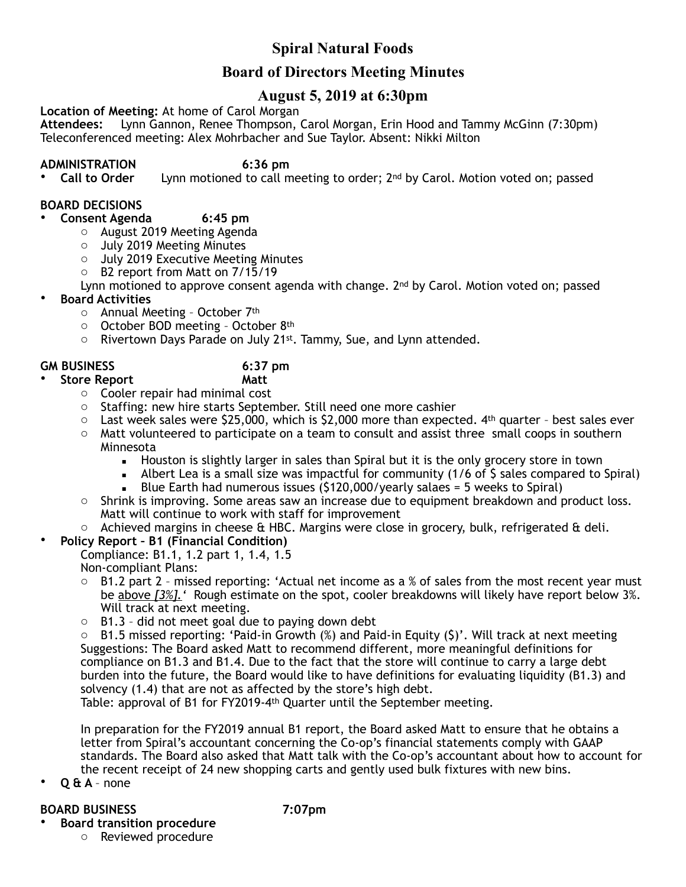# **Spiral Natural Foods**

# **Board of Directors Meeting Minutes**

# **August 5, 2019 at 6:30pm**

**Location of Meeting:** At home of Carol Morgan

**Attendees:** Lynn Gannon, Renee Thompson, Carol Morgan, Erin Hood and Tammy McGinn (7:30pm) Teleconferenced meeting: Alex Mohrbacher and Sue Taylor. Absent: Nikki Milton

**ADMINISTRATION 6:36 pm**  Lynn motioned to call meeting to order; 2<sup>nd</sup> by Carol. Motion voted on; passed

## **BOARD DECISIONS**

- **Consent Agenda 6:45 pm** 
	- o August 2019 Meeting Agenda
	- o July 2019 Meeting Minutes
	- o July 2019 Executive Meeting Minutes
	- o B2 report from Matt on 7/15/19

Lynn motioned to approve consent agenda with change.  $2^{nd}$  by Carol. Motion voted on; passed

- **Board Activities**
	- o Annual Meeting October 7th
	- o October BOD meeting October 8th
	- o Rivertown Days Parade on July 21st. Tammy, Sue, and Lynn attended.

### **GM BUSINESS 6:37 pm**

- **Store Report Matt** 
	- o Cooler repair had minimal cost
	- o Staffing: new hire starts September. Still need one more cashier
	- $\circ$  Last week sales were \$25,000, which is \$2,000 more than expected.  $4<sup>th</sup>$  quarter best sales ever  $\circ$  Matt volunteered to participate on a team to consult and assist three small coops in southern Minnesota
		- **EXECT** Houston is slightly larger in sales than Spiral but it is the only grocery store in town
		- **EXECT** Albert Lea is a small size was impactful for community (1/6 of  $\zeta$  sales compared to Spiral)
			- Blue Earth had numerous issues (\$120,000/yearly salaes = 5 weeks to Spiral)
	- o Shrink is improving. Some areas saw an increase due to equipment breakdown and product loss. Matt will continue to work with staff for improvement
	- $\circ$  Achieved margins in cheese & HBC. Margins were close in grocery, bulk, refrigerated & deli.
- **Policy Report B1 (Financial Condition)**
	- Compliance: B1.1, 1.2 part 1, 1.4, 1.5 Non-compliant Plans:
	- $\circ$  B1.2 part 2 missed reporting: 'Actual net income as a % of sales from the most recent year must be above *[3%].'* Rough estimate on the spot, cooler breakdowns will likely have report below 3%. Will track at next meeting.
	- $\circ$  B1.3 did not meet goal due to paying down debt

 $\circ$  B1.5 missed reporting: 'Paid-in Growth (%) and Paid-in Equity (\$)'. Will track at next meeting Suggestions: The Board asked Matt to recommend different, more meaningful definitions for compliance on B1.3 and B1.4. Due to the fact that the store will continue to carry a large debt burden into the future, the Board would like to have definitions for evaluating liquidity (B1.3) and solvency (1.4) that are not as affected by the store's high debt.

Table: approval of B1 for FY2019-4th Quarter until the September meeting.

In preparation for the FY2019 annual B1 report, the Board asked Matt to ensure that he obtains a letter from Spiral's accountant concerning the Co-op's financial statements comply with GAAP standards. The Board also asked that Matt talk with the Co-op's accountant about how to account for the recent receipt of 24 new shopping carts and gently used bulk fixtures with new bins.

• **Q & A** – none

## **BOARD BUSINESS 7:07pm**

• **Board transition procedure**  o Reviewed procedure